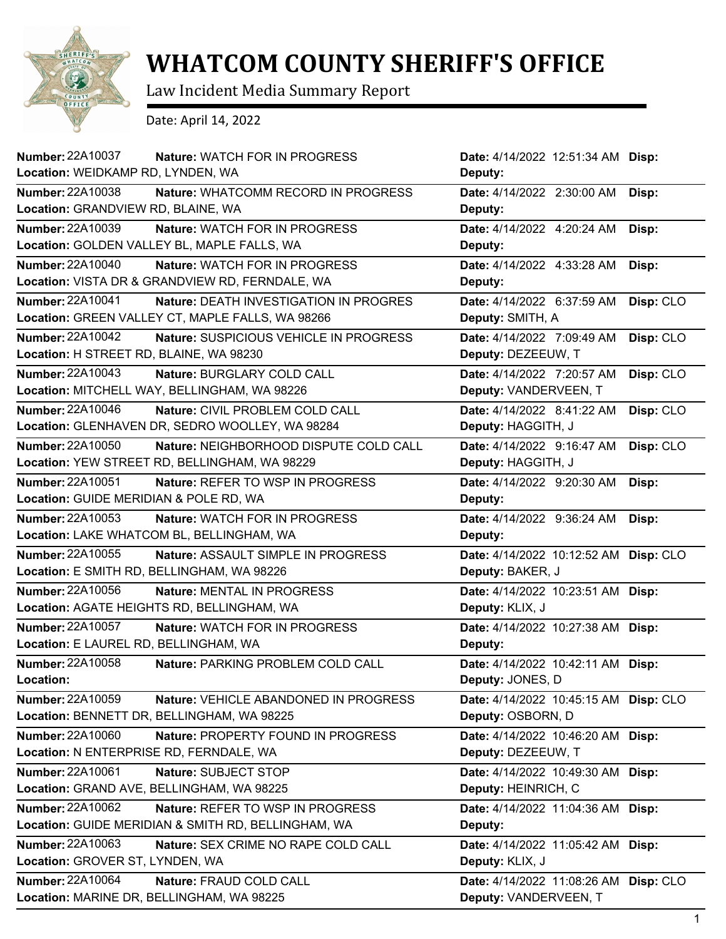

## **WHATCOM COUNTY SHERIFF'S OFFICE**

Law Incident Media Summary Report

Date: April 14, 2022

| <b>Number: 22A10037</b><br>Nature: WATCH FOR IN PROGRESS<br>Location: WEIDKAMP RD, LYNDEN, WA                         | Date: 4/14/2022 12:51:34 AM Disp:<br>Deputy:          |           |
|-----------------------------------------------------------------------------------------------------------------------|-------------------------------------------------------|-----------|
| <b>Number: 22A10038</b><br>Nature: WHATCOMM RECORD IN PROGRESS<br>Location: GRANDVIEW RD, BLAINE, WA                  | Date: 4/14/2022 2:30:00 AM<br>Deputy:                 | Disp:     |
| <b>Number: 22A10039</b><br>Nature: WATCH FOR IN PROGRESS<br>Location: GOLDEN VALLEY BL, MAPLE FALLS, WA               | Date: 4/14/2022 4:20:24 AM<br>Deputy:                 | Disp:     |
| <b>Number: 22A10040</b><br><b>Nature: WATCH FOR IN PROGRESS</b><br>Location: VISTA DR & GRANDVIEW RD, FERNDALE, WA    | Date: 4/14/2022 4:33:28 AM<br>Deputy:                 | Disp:     |
| <b>Number: 22A10041</b><br>Nature: DEATH INVESTIGATION IN PROGRES<br>Location: GREEN VALLEY CT, MAPLE FALLS, WA 98266 | Date: 4/14/2022 6:37:59 AM<br>Deputy: SMITH, A        | Disp: CLO |
| <b>Number: 22A10042</b><br>Nature: SUSPICIOUS VEHICLE IN PROGRESS<br>Location: H STREET RD, BLAINE, WA 98230          | Date: 4/14/2022 7:09:49 AM<br>Deputy: DEZEEUW, T      | Disp: CLO |
| <b>Number: 22A10043</b><br>Nature: BURGLARY COLD CALL<br>Location: MITCHELL WAY, BELLINGHAM, WA 98226                 | Date: 4/14/2022 7:20:57 AM<br>Deputy: VANDERVEEN, T   | Disp: CLO |
| Number: 22A10046<br>Nature: CIVIL PROBLEM COLD CALL<br>Location: GLENHAVEN DR, SEDRO WOOLLEY, WA 98284                | Date: 4/14/2022 8:41:22 AM<br>Deputy: HAGGITH, J      | Disp: CLO |
| Number: 22A10050<br>Nature: NEIGHBORHOOD DISPUTE COLD CALL<br>Location: YEW STREET RD, BELLINGHAM, WA 98229           | Date: 4/14/2022 9:16:47 AM<br>Deputy: HAGGITH, J      | Disp: CLO |
| <b>Number: 22A10051</b><br>Nature: REFER TO WSP IN PROGRESS<br>Location: GUIDE MERIDIAN & POLE RD, WA                 | Date: 4/14/2022 9:20:30 AM<br>Deputy:                 | Disp:     |
| <b>Number: 22A10053</b><br><b>Nature: WATCH FOR IN PROGRESS</b><br>Location: LAKE WHATCOM BL, BELLINGHAM, WA          | Date: 4/14/2022 9:36:24 AM<br>Deputy:                 | Disp:     |
| Number: 22A10055<br>Nature: ASSAULT SIMPLE IN PROGRESS<br>Location: E SMITH RD, BELLINGHAM, WA 98226                  | Date: 4/14/2022 10:12:52 AM<br>Deputy: BAKER, J       | Disp: CLO |
| <b>Number: 22A10056</b><br>Nature: MENTAL IN PROGRESS<br>Location: AGATE HEIGHTS RD, BELLINGHAM, WA                   | Date: 4/14/2022 10:23:51 AM Disp:<br>Deputy: KLIX, J  |           |
| <b>Number: 22A10057</b><br>Nature: WATCH FOR IN PROGRESS<br>Location: E LAUREL RD, BELLINGHAM, WA                     | Date: 4/14/2022 10:27:38 AM Disp:<br>Deputy:          |           |
| Number: 22A10058<br>Nature: PARKING PROBLEM COLD CALL<br>Location:                                                    | Date: 4/14/2022 10:42:11 AM Disp:<br>Deputy: JONES, D |           |
| <b>Number: 22A10059</b><br>Nature: VEHICLE ABANDONED IN PROGRESS                                                      |                                                       |           |
| Location: BENNETT DR, BELLINGHAM, WA 98225                                                                            | Date: 4/14/2022 10:45:15 AM<br>Deputy: OSBORN, D      | Disp: CLO |
| Number: 22A10060<br>Nature: PROPERTY FOUND IN PROGRESS<br>Location: N ENTERPRISE RD, FERNDALE, WA                     | Date: 4/14/2022 10:46:20 AM<br>Deputy: DEZEEUW, T     | Disp:     |
| <b>Number: 22A10061</b><br>Nature: SUBJECT STOP<br>Location: GRAND AVE, BELLINGHAM, WA 98225                          | Date: 4/14/2022 10:49:30 AM<br>Deputy: HEINRICH, C    | Disp:     |
| Number: 22A10062<br>Nature: REFER TO WSP IN PROGRESS<br>Location: GUIDE MERIDIAN & SMITH RD, BELLINGHAM, WA           | Date: 4/14/2022 11:04:36 AM<br>Deputy:                | Disp:     |
| <b>Number: 22A10063</b><br>Nature: SEX CRIME NO RAPE COLD CALL<br>Location: GROVER ST, LYNDEN, WA                     | Date: 4/14/2022 11:05:42 AM<br>Deputy: KLIX, J        | Disp:     |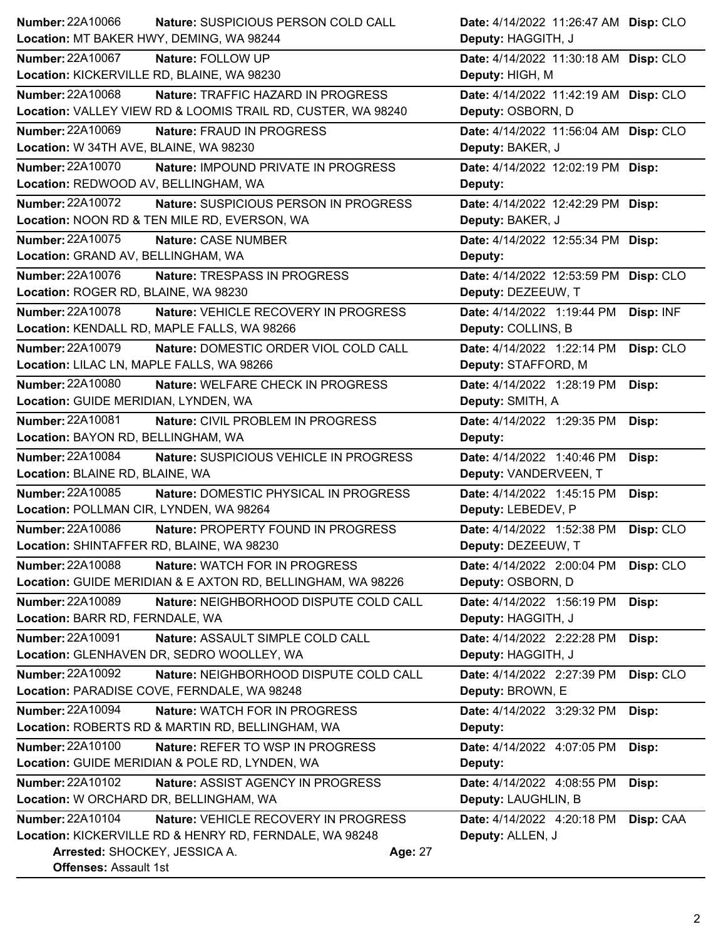| Number: 22A10066<br>Nature: SUSPICIOUS PERSON COLD CALL                         | Date: 4/14/2022 11:26:47 AM Disp: CLO   |
|---------------------------------------------------------------------------------|-----------------------------------------|
| Location: MT BAKER HWY, DEMING, WA 98244                                        | Deputy: HAGGITH, J                      |
| <b>Number: 22A10067</b><br>Nature: FOLLOW UP                                    | Date: 4/14/2022 11:30:18 AM Disp: CLO   |
| Location: KICKERVILLE RD, BLAINE, WA 98230                                      | Deputy: HIGH, M                         |
| <b>Number: 22A10068</b><br>Nature: TRAFFIC HAZARD IN PROGRESS                   | Date: 4/14/2022 11:42:19 AM Disp: CLO   |
| Location: VALLEY VIEW RD & LOOMIS TRAIL RD, CUSTER, WA 98240                    | Deputy: OSBORN, D                       |
| <b>Number: 22A10069</b><br>Nature: FRAUD IN PROGRESS                            | Date: 4/14/2022 11:56:04 AM Disp: CLO   |
| Location: W 34TH AVE, BLAINE, WA 98230                                          | Deputy: BAKER, J                        |
| <b>Number: 22A10070</b><br>Nature: IMPOUND PRIVATE IN PROGRESS                  | Date: 4/14/2022 12:02:19 PM Disp:       |
| Location: REDWOOD AV, BELLINGHAM, WA                                            | Deputy:                                 |
| <b>Number: 22A10072</b><br>Nature: SUSPICIOUS PERSON IN PROGRESS                | Date: 4/14/2022 12:42:29 PM Disp:       |
| Location: NOON RD & TEN MILE RD, EVERSON, WA                                    | Deputy: BAKER, J                        |
| Number: 22A10075<br>Nature: CASE NUMBER                                         | Date: 4/14/2022 12:55:34 PM Disp:       |
| Location: GRAND AV, BELLINGHAM, WA                                              | Deputy:                                 |
| <b>Number: 22A10076</b><br>Nature: TRESPASS IN PROGRESS                         | Date: 4/14/2022 12:53:59 PM Disp: CLO   |
| Location: ROGER RD, BLAINE, WA 98230                                            | Deputy: DEZEEUW, T                      |
| <b>Number: 22A10078</b><br>Nature: VEHICLE RECOVERY IN PROGRESS                 | Date: 4/14/2022 1:19:44 PM Disp: INF    |
| Location: KENDALL RD, MAPLE FALLS, WA 98266                                     | Deputy: COLLINS, B                      |
| Number: 22A10079<br>Nature: DOMESTIC ORDER VIOL COLD CALL                       | Date: 4/14/2022 1:22:14 PM<br>Disp: CLO |
| Location: LILAC LN, MAPLE FALLS, WA 98266                                       | Deputy: STAFFORD, M                     |
| Number: 22A10080<br>Nature: WELFARE CHECK IN PROGRESS                           | Date: 4/14/2022 1:28:19 PM<br>Disp:     |
| Location: GUIDE MERIDIAN, LYNDEN, WA                                            | Deputy: SMITH, A                        |
| Number: 22A10081<br>Nature: CIVIL PROBLEM IN PROGRESS                           | Date: 4/14/2022 1:29:35 PM<br>Disp:     |
| Location: BAYON RD, BELLINGHAM, WA                                              | Deputy:                                 |
| Number: 22A10084<br>Nature: SUSPICIOUS VEHICLE IN PROGRESS                      | Date: 4/14/2022 1:40:46 PM<br>Disp:     |
|                                                                                 |                                         |
| Location: BLAINE RD, BLAINE, WA                                                 | Deputy: VANDERVEEN, T                   |
| Number: 22A10085<br>Nature: DOMESTIC PHYSICAL IN PROGRESS                       | Date: 4/14/2022 1:45:15 PM<br>Disp:     |
| Location: POLLMAN CIR, LYNDEN, WA 98264                                         | Deputy: LEBEDEV, P                      |
| <b>Number: 22A10086</b><br>Nature: PROPERTY FOUND IN PROGRESS                   | Date: 4/14/2022 1:52:38 PM<br>Disp: CLO |
| Location: SHINTAFFER RD, BLAINE, WA 98230                                       | Deputy: DEZEEUW, T                      |
| <b>Number: 22A10088</b><br>Nature: WATCH FOR IN PROGRESS                        | Date: 4/14/2022 2:00:04 PM<br>Disp: CLO |
| Location: GUIDE MERIDIAN & E AXTON RD, BELLINGHAM, WA 98226                     | Deputy: OSBORN, D                       |
| <b>Number: 22A10089</b><br>Nature: NEIGHBORHOOD DISPUTE COLD CALL               | Date: 4/14/2022 1:56:19 PM<br>Disp:     |
| Location: BARR RD, FERNDALE, WA                                                 | Deputy: HAGGITH, J                      |
| Number: 22A10091<br>Nature: ASSAULT SIMPLE COLD CALL                            | Date: 4/14/2022 2:22:28 PM<br>Disp:     |
| Location: GLENHAVEN DR, SEDRO WOOLLEY, WA                                       | Deputy: HAGGITH, J                      |
| <b>Number: 22A10092</b><br>Nature: NEIGHBORHOOD DISPUTE COLD CALL               | Date: 4/14/2022 2:27:39 PM<br>Disp: CLO |
| Location: PARADISE COVE, FERNDALE, WA 98248                                     | Deputy: BROWN, E                        |
| <b>Number: 22A10094</b><br>Nature: WATCH FOR IN PROGRESS                        | Date: 4/14/2022 3:29:32 PM<br>Disp:     |
| Location: ROBERTS RD & MARTIN RD, BELLINGHAM, WA                                | Deputy:                                 |
| Number: 22A10100<br>Nature: REFER TO WSP IN PROGRESS                            | Date: 4/14/2022 4:07:05 PM<br>Disp:     |
| Location: GUIDE MERIDIAN & POLE RD, LYNDEN, WA                                  | Deputy:                                 |
| Number: 22A10102<br>Nature: ASSIST AGENCY IN PROGRESS                           | Date: 4/14/2022 4:08:55 PM<br>Disp:     |
| Location: W ORCHARD DR, BELLINGHAM, WA                                          | Deputy: LAUGHLIN, B                     |
| <b>Number: 22A10104</b><br>Nature: VEHICLE RECOVERY IN PROGRESS                 | Date: 4/14/2022 4:20:18 PM<br>Disp: CAA |
| Location: KICKERVILLE RD & HENRY RD, FERNDALE, WA 98248                         | Deputy: ALLEN, J                        |
| Arrested: SHOCKEY, JESSICA A.<br><b>Age: 27</b><br><b>Offenses: Assault 1st</b> |                                         |